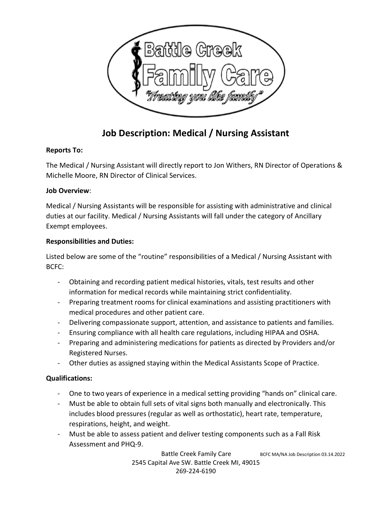

# Job Description: Medical / Nursing Assistant

### Reports To:

The Medical / Nursing Assistant will directly report to Jon Withers, RN Director of Operations & Michelle Moore, RN Director of Clinical Services.

### Job Overview:

Medical / Nursing Assistants will be responsible for assisting with administrative and clinical duties at our facility. Medical / Nursing Assistants will fall under the category of Ancillary Exempt employees.

# Responsibilities and Duties:

Listed below are some of the "routine" responsibilities of a Medical / Nursing Assistant with BCFC:

- Obtaining and recording patient medical histories, vitals, test results and other information for medical records while maintaining strict confidentiality.
- Preparing treatment rooms for clinical examinations and assisting practitioners with medical procedures and other patient care.
- Delivering compassionate support, attention, and assistance to patients and families.
- Ensuring compliance with all health care regulations, including HIPAA and OSHA.
- Preparing and administering medications for patients as directed by Providers and/or Registered Nurses.
- Other duties as assigned staying within the Medical Assistants Scope of Practice.

# Qualifications:

- One to two years of experience in a medical setting providing "hands on" clinical care.
- Must be able to obtain full sets of vital signs both manually and electronically. This includes blood pressures (regular as well as orthostatic), heart rate, temperature, respirations, height, and weight.
- Must be able to assess patient and deliver testing components such as a Fall Risk Assessment and PHQ-9.

Battle Creek Family Care BCFC MA/NA Job Description 03.14.2022 2545 Capital Ave SW. Battle Creek MI, 49015 269-224-6190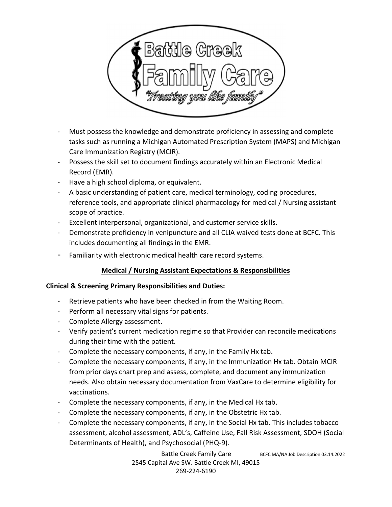

- Must possess the knowledge and demonstrate proficiency in assessing and complete tasks such as running a Michigan Automated Prescription System (MAPS) and Michigan Care Immunization Registry (MCIR).
- Possess the skill set to document findings accurately within an Electronic Medical Record (EMR).
- Have a high school diploma, or equivalent.
- A basic understanding of patient care, medical terminology, coding procedures, reference tools, and appropriate clinical pharmacology for medical / Nursing assistant scope of practice.
- Excellent interpersonal, organizational, and customer service skills.
- Demonstrate proficiency in venipuncture and all CLIA waived tests done at BCFC. This includes documenting all findings in the EMR.
- Familiarity with electronic medical health care record systems.

# Medical / Nursing Assistant Expectations & Responsibilities

#### Clinical & Screening Primary Responsibilities and Duties:

- Retrieve patients who have been checked in from the Waiting Room.
- Perform all necessary vital signs for patients.
- Complete Allergy assessment.
- Verify patient's current medication regime so that Provider can reconcile medications during their time with the patient.
- Complete the necessary components, if any, in the Family Hx tab.
- Complete the necessary components, if any, in the Immunization Hx tab. Obtain MCIR from prior days chart prep and assess, complete, and document any immunization needs. Also obtain necessary documentation from VaxCare to determine eligibility for vaccinations.
- Complete the necessary components, if any, in the Medical Hx tab.
- Complete the necessary components, if any, in the Obstetric Hx tab.
- Complete the necessary components, if any, in the Social Hx tab. This includes tobacco assessment, alcohol assessment, ADL's, Caffeine Use, Fall Risk Assessment, SDOH (Social Determinants of Health), and Psychosocial (PHQ-9).

Battle Creek Family Care BCFC MA/NA Job Description 03.14.2022 2545 Capital Ave SW. Battle Creek MI, 49015 269-224-6190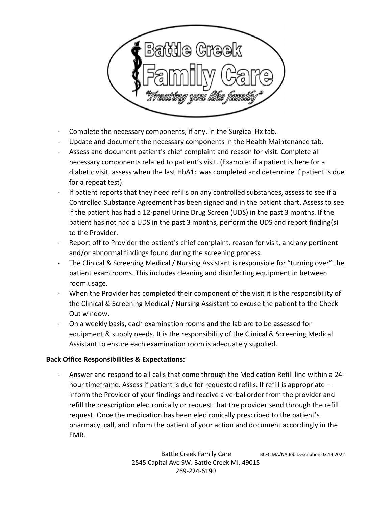

- Complete the necessary components, if any, in the Surgical Hx tab.
- Update and document the necessary components in the Health Maintenance tab.
- Assess and document patient's chief complaint and reason for visit. Complete all necessary components related to patient's visit. (Example: if a patient is here for a diabetic visit, assess when the last HbA1c was completed and determine if patient is due for a repeat test).
- If patient reports that they need refills on any controlled substances, assess to see if a Controlled Substance Agreement has been signed and in the patient chart. Assess to see if the patient has had a 12-panel Urine Drug Screen (UDS) in the past 3 months. If the patient has not had a UDS in the past 3 months, perform the UDS and report finding(s) to the Provider.
- Report off to Provider the patient's chief complaint, reason for visit, and any pertinent and/or abnormal findings found during the screening process.
- The Clinical & Screening Medical / Nursing Assistant is responsible for "turning over" the patient exam rooms. This includes cleaning and disinfecting equipment in between room usage.
- When the Provider has completed their component of the visit it is the responsibility of the Clinical & Screening Medical / Nursing Assistant to excuse the patient to the Check Out window.
- On a weekly basis, each examination rooms and the lab are to be assessed for equipment & supply needs. It is the responsibility of the Clinical & Screening Medical Assistant to ensure each examination room is adequately supplied.

#### Back Office Responsibilities & Expectations:

- Answer and respond to all calls that come through the Medication Refill line within a 24 hour timeframe. Assess if patient is due for requested refills. If refill is appropriate – inform the Provider of your findings and receive a verbal order from the provider and refill the prescription electronically or request that the provider send through the refill request. Once the medication has been electronically prescribed to the patient's pharmacy, call, and inform the patient of your action and document accordingly in the EMR.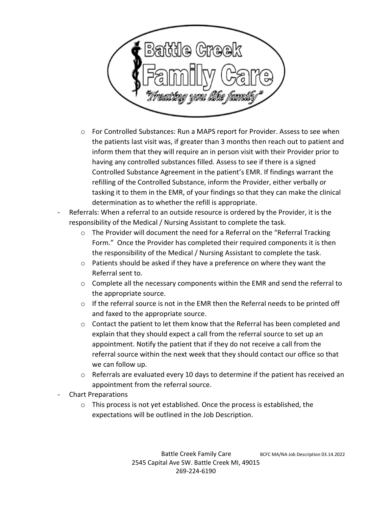

- o For Controlled Substances: Run a MAPS report for Provider. Assess to see when the patients last visit was, if greater than 3 months then reach out to patient and inform them that they will require an in person visit with their Provider prior to having any controlled substances filled. Assess to see if there is a signed Controlled Substance Agreement in the patient's EMR. If findings warrant the refilling of the Controlled Substance, inform the Provider, either verbally or tasking it to them in the EMR, of your findings so that they can make the clinical determination as to whether the refill is appropriate.
- Referrals: When a referral to an outside resource is ordered by the Provider, it is the responsibility of the Medical / Nursing Assistant to complete the task.
	- $\circ$  The Provider will document the need for a Referral on the "Referral Tracking" Form." Once the Provider has completed their required components it is then the responsibility of the Medical / Nursing Assistant to complete the task.
	- $\circ$  Patients should be asked if they have a preference on where they want the Referral sent to.
	- $\circ$  Complete all the necessary components within the EMR and send the referral to the appropriate source.
	- $\circ$  If the referral source is not in the EMR then the Referral needs to be printed off and faxed to the appropriate source.
	- o Contact the patient to let them know that the Referral has been completed and explain that they should expect a call from the referral source to set up an appointment. Notify the patient that if they do not receive a call from the referral source within the next week that they should contact our office so that we can follow up.
	- $\circ$  Referrals are evaluated every 10 days to determine if the patient has received an appointment from the referral source.
- Chart Preparations
	- o This process is not yet established. Once the process is established, the expectations will be outlined in the Job Description.